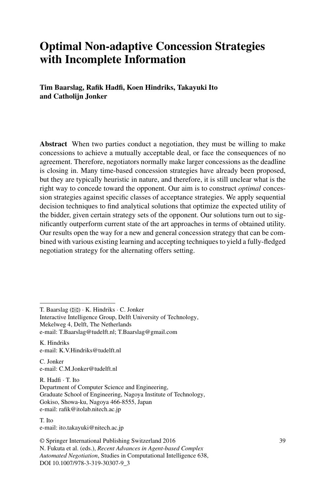# **Optimal Non-adaptive Concession Strategies with Incomplete Information**

**Tim Baarslag, Rafik Hadfi, Koen Hindriks, Takayuki Ito and Catholijn Jonker**

**Abstract** When two parties conduct a negotiation, they must be willing to make concessions to achieve a mutually acceptable deal, or face the consequences of no agreement. Therefore, negotiators normally make larger concessions as the deadline is closing in. Many time-based concession strategies have already been proposed, but they are typically heuristic in nature, and therefore, it is still unclear what is the right way to concede toward the opponent. Our aim is to construct *optimal* concession strategies against specific classes of acceptance strategies. We apply sequential decision techniques to find analytical solutions that optimize the expected utility of the bidder, given certain strategy sets of the opponent. Our solutions turn out to significantly outperform current state of the art approaches in terms of obtained utility. Our results open the way for a new and general concession strategy that can be combined with various existing learning and accepting techniques to yield a fully-fledged negotiation strategy for the alternating offers setting.

K. Hindriks

e-mail: K.V.Hindriks@tudelft.nl

C. Jonker e-mail: C.M.Jonker@tudelft.nl

R. Hadfi · T. Ito Department of Computer Science and Engineering, Graduate School of Engineering, Nagoya Institute of Technology, Gokiso, Showa-ku, Nagoya 466-8555, Japan e-mail: rafik@itolab.nitech.ac.jp

T. Ito e-mail: ito.takayuki@nitech.ac.jp

© Springer International Publishing Switzerland 2016 N. Fukuta et al. (eds.), *Recent Advances in Agent-based Complex Automated Negotiation*, Studies in Computational Intelligence 638, DOI 10.1007/978-3-319-30307-9\_3

T. Baarslag  $(\boxtimes) \cdot K$ . Hindriks  $\cdot C$ . Jonker

Interactive Intelligence Group, Delft University of Technology, Mekelweg 4, Delft, The Netherlands e-mail: T.Baarslag@tudelft.nl; T.Baarslag@gmail.com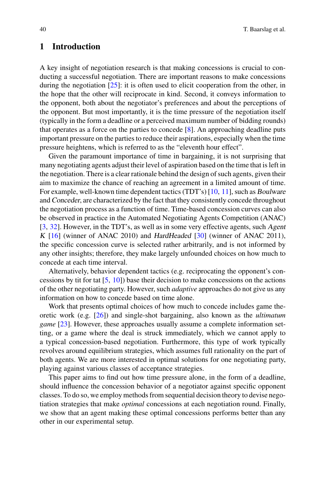## **1 Introduction**

A key insight of negotiation research is that making concessions is crucial to conducting a successful negotiation. There are important reasons to make concessions during the negotiation  $[25]$ : it is often used to elicit cooperation from the other, in the hope that the other will reciprocate in kind. Second, it conveys information to the opponent, both about the negotiator's preferences and about the perceptions of the opponent. But most importantly, it is the time pressure of the negotiation itself (typically in the form a deadline or a perceived maximum number of bidding rounds) that operates as a force on the parties to concede [\[8\]](#page-14-0). An approaching deadline puts important pressure on the parties to reduce their aspirations, especially when the time pressure heightens, which is referred to as the "eleventh hour effect".

Given the paramount importance of time in bargaining, it is not surprising that many negotiating agents adjust their level of aspiration based on the time that is left in the negotiation. There is a clear rationale behind the design of such agents, given their aim to maximize the chance of reaching an agreement in a limited amount of time. For example, well-known time dependent tactics (TDT's) [\[10,](#page-14-1) [11\]](#page-14-2), such as Boulware and Conceder, are characterized by the fact that they consistently concede throughout the negotiation process as a function of time. Time-based concession curves can also be observed in practice in the Automated Negotiating Agents Competition (ANAC) [\[3,](#page-14-3) [32](#page-15-1)]. However, in the TDT's, as well as in some very effective agents, such Agent K [\[16\]](#page-14-4) (winner of ANAC 2010) and HardHeaded [\[30](#page-15-2)] (winner of ANAC 2011), the specific concession curve is selected rather arbitrarily, and is not informed by any other insights; therefore, they make largely unfounded choices on how much to concede at each time interval.

Alternatively, behavior dependent tactics (e.g. reciprocating the opponent's concessions by tit for tat  $[5, 10]$  $[5, 10]$  $[5, 10]$  base their decision to make concessions on the actions of the other negotiating party. However, such *adaptive* approaches do not give us any information on how to concede based on time alone.

Work that presents optimal choices of how much to concede includes game theoretic work (e.g. [\[26\]](#page-15-3)) and single-shot bargaining, also known as the *ultimatum game* [\[23](#page-15-4)]. However, these approaches usually assume a complete information setting, or a game where the deal is struck immediately, which we cannot apply to a typical concession-based negotiation. Furthermore, this type of work typically revolves around equilibrium strategies, which assumes full rationality on the part of both agents. We are more interested in optimal solutions for one negotiating party, playing against various classes of acceptance strategies.

This paper aims to find out how time pressure alone, in the form of a deadline, should influence the concession behavior of a negotiator against specific opponent classes. To do so, we employ methods from sequential decision theory to devise negotiation strategies that make *optimal* concessions at each negotiation round. Finally, we show that an agent making these optimal concessions performs better than any other in our experimental setup.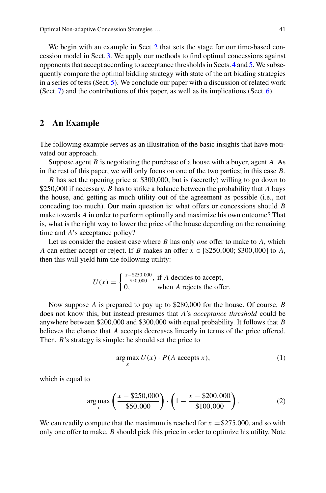We begin with an example in Sect. [2](#page-2-0) that sets the stage for our time-based concession model in Sect. [3.](#page-3-0) We apply our methods to find optimal concessions against opponents that accept according to acceptance thresholds in Sects. [4](#page-4-0) and [5.](#page-6-0) We subsequently compare the optimal bidding strategy with state of the art bidding strategies in a series of tests (Sect. [5\)](#page-6-0). We conclude our paper with a discussion of related work (Sect. [7\)](#page-12-0) and the contributions of this paper, as well as its implications (Sect. [6\)](#page-11-0).

#### <span id="page-2-0"></span>**2 An Example**

The following example serves as an illustration of the basic insights that have motivated our approach.

Suppose agent *B* is negotiating the purchase of a house with a buyer, agent *A*. As in the rest of this paper, we will only focus on one of the two parties; in this case *B*.

*B* has set the opening price at \$300,000, but is (secretly) willing to go down to \$250,000 if necessary. *B* has to strike a balance between the probability that *A* buys the house, and getting as much utility out of the agreement as possible (i.e., not conceding too much). Our main question is: what offers or concessions should *B* make towards *A* in order to perform optimally and maximize his own outcome? That is, what is the right way to lower the price of the house depending on the remaining time and *A*'s acceptance policy?

Let us consider the easiest case where *B* has only *one* offer to make to *A*, which *A* can either accept or reject. If *B* makes an offer  $x \in \{ $250,000; $300,000 \}$  to *A*, then this will yield him the following utility:

$$
U(x) = \begin{cases} \frac{x - $250,000}{\$50,000}, & \text{if } A \text{ decides to accept,} \\ 0, & \text{when } A \text{ rejects the offer.} \end{cases}
$$

Now suppose *A* is prepared to pay up to \$280,000 for the house. Of course, *B* does not know this, but instead presumes that *A*'s *acceptance threshold* could be anywhere between \$200,000 and \$300,000 with equal probability. It follows that *B* believes the chance that *A* accepts decreases linearly in terms of the price offered. Then, *B*'s strategy is simple: he should set the price to

$$
\underset{x}{\arg\max} \ U(x) \cdot P(A \text{ accepts } x), \tag{1}
$$

which is equal to

$$
\arg\max_{x} \left( \frac{x - \$250,000}{\$50,000} \right) \cdot \left( 1 - \frac{x - \$200,000}{\$100,000} \right). \tag{2}
$$

We can readily compute that the maximum is reached for  $x = $275,000$ , and so with only one offer to make, *B* should pick this price in order to optimize his utility. Note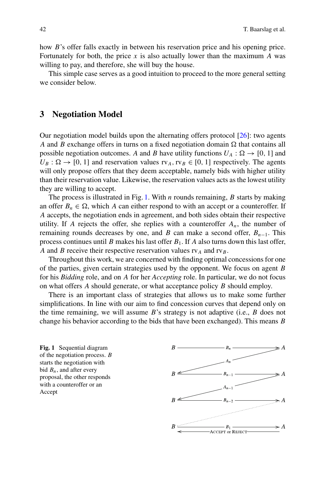how *B*'s offer falls exactly in between his reservation price and his opening price. Fortunately for both, the price *x* is also actually lower than the maximum *A* was willing to pay, and therefore, she will buy the house.

This simple case serves as a good intuition to proceed to the more general setting we consider below.

## <span id="page-3-0"></span>**3 Negotiation Model**

Our negotiation model builds upon the alternating offers protocol [\[26](#page-15-3)]: two agents A and B exchange offers in turns on a fixed negotiation domain  $\Omega$  that contains all possible negotiation outcomes. *A* and *B* have utility functions  $U_A$ :  $\Omega \rightarrow [0, 1]$  and  $U_B: \Omega \to [0, 1]$  and reservation values  $rv_A, rv_B \in [0, 1]$  respectively. The agents will only propose offers that they deem acceptable, namely bids with higher utility than their reservation value. Likewise, the reservation values acts as the lowest utility they are willing to accept.

The process is illustrated in Fig. [1.](#page-3-1) With *n* rounds remaining, *B* starts by making an offer  $B_n \in \Omega$ , which *A* can either respond to with an accept or a counteroffer. If *A* accepts, the negotiation ends in agreement, and both sides obtain their respective utility. If *A* rejects the offer, she replies with a counteroffer  $A_n$ , the number of remaining rounds decreases by one, and *B* can make a second offer,  $B_{n-1}$ . This process continues until *B* makes his last offer *B*1. If *A* also turns down this last offer, *A* and *B* receive their respective reservation values  $rv_A$  and  $rv_B$ .

Throughout this work, we are concerned with finding optimal concessions for one of the parties, given certain strategies used by the opponent. We focus on agent *B* for his *Bidding* role, and on *A* for her *Accepting* role. In particular, we do not focus on what offers *A* should generate, or what acceptance policy *B* should employ.

There is an important class of strategies that allows us to make some further simplifications. In line with our aim to find concession curves that depend only on the time remaining, we will assume *B*'s strategy is not adaptive (i.e., *B* does not change his behavior according to the bids that have been exchanged). This means *B*

<span id="page-3-1"></span>**Fig. 1** Sequential diagram of the negotiation process. *B* starts the negotiation with bid *Bn*, and after every proposal, the other responds with a counteroffer or an Accept

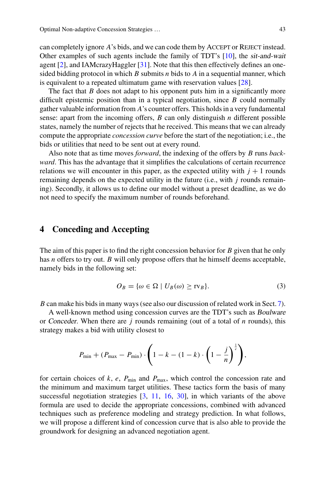can completely ignore *A*'s bids, and we can code them by ACCEPT or REJECT instead. Other examples of such agents include the family of TDT's [\[10](#page-14-1)], the sit-and-wait agent [\[2\]](#page-14-6), and IAMcrazyHaggler [\[31\]](#page-15-5). Note that this then effectively defines an onesided bidding protocol in which *B* submits *n* bids to *A* in a sequential manner, which is equivalent to a repeated ultimatum game with reservation values [\[28\]](#page-15-6).

The fact that *B* does not adapt to his opponent puts him in a significantly more difficult epistemic position than in a typical negotiation, since *B* could normally gather valuable information from *A*'s counter offers. This holds in a very fundamental sense: apart from the incoming offers,  $B$  can only distinguish  $n$  different possible states, namely the number of rejects that he received. This means that we can already compute the appropriate *concession curve* before the start of the negotiation; i.e., the bids or utilities that need to be sent out at every round.

Also note that as time moves *forward*, the indexing of the offers by *B* runs *backward*. This has the advantage that it simplifies the calculations of certain recurrence relations we will encounter in this paper, as the expected utility with  $j + 1$  rounds remaining depends on the expected utility in the future (i.e., with *j* rounds remaining). Secondly, it allows us to define our model without a preset deadline, as we do not need to specify the maximum number of rounds beforehand.

## <span id="page-4-0"></span>**4 Conceding and Accepting**

The aim of this paper is to find the right concession behavior for *B* given that he only has *n* offers to try out. *B* will only propose offers that he himself deems acceptable, namely bids in the following set:

$$
O_B = \{ \omega \in \Omega \mid U_B(\omega) \geq \text{rv}_B \}. \tag{3}
$$

*B* can make his bids in many ways (see also our discussion of related work in Sect. [7\)](#page-12-0).

A well-known method using concession curves are the TDT's such as Boulware or Conceder. When there are *j* rounds remaining (out of a total of *n* rounds), this strategy makes a bid with utility closest to

$$
P_{\min} + (P_{\max} - P_{\min}) \cdot \left(1 - k - (1 - k) \cdot \left(1 - \frac{j}{n}\right)^{\frac{1}{e}}\right),
$$

for certain choices of  $k$ ,  $e$ ,  $P_{\text{min}}$  and  $P_{\text{max}}$ , which control the concession rate and the minimum and maximum target utilities. These tactics form the basis of many successful negotiation strategies [\[3,](#page-14-3) [11](#page-14-2), [16](#page-14-4), [30](#page-15-2)], in which variants of the above formula are used to decide the appropriate concessions, combined with advanced techniques such as preference modeling and strategy prediction. In what follows, we will propose a different kind of concession curve that is also able to provide the groundwork for designing an advanced negotiation agent.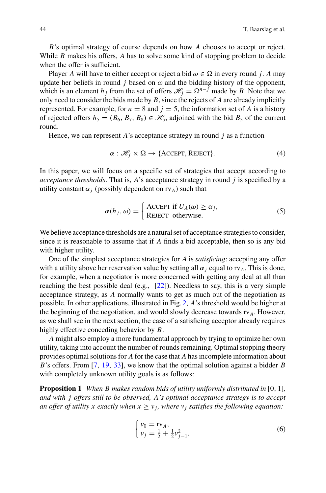*B*'s optimal strategy of course depends on how *A* chooses to accept or reject. While *B* makes his offers, *A* has to solve some kind of stopping problem to decide when the offer is sufficient.

Player *A* will have to either accept or reject a bid  $\omega \in \Omega$  in every round *j*. *A* may update her beliefs in round *j* based on  $\omega$  and the bidding history of the opponent, which is an element  $h_j$  from the set of offers  $\mathcal{H}_j = \Omega^{n-j}$  made by *B*. Note that we only need to consider the bids made by *B*, since the rejects of *A* are already implicitly represented. For example, for  $n = 8$  and  $j = 5$ , the information set of A is a history of rejected offers  $h_5 = (B_6, B_7, B_8) \in \mathcal{H}_5$ , adjoined with the bid  $B_5$  of the current round.

Hence, we can represent *A*'s acceptance strategy in round *j* as a function

$$
\alpha : \mathcal{H}_j \times \Omega \to \{\text{ACCEPT}, \text{REIECT}\}. \tag{4}
$$

In this paper, we will focus on a specific set of strategies that accept according to *acceptance thresholds*. That is, *A*'s acceptance strategy in round *j* is specified by a utility constant  $\alpha_i$  (possibly dependent on  $rv_A$ ) such that

$$
\alpha(h_j, \omega) = \begin{cases} \text{ACCEPT if } U_A(\omega) \ge \alpha_j, \\ \text{REJECT otherwise.} \end{cases}
$$
 (5)

We believe acceptance thresholds are a natural set of acceptance strategies to consider, since it is reasonable to assume that if *A* finds a bid acceptable, then so is any bid with higher utility.

One of the simplest acceptance strategies for *A* is *satisficing*: accepting any offer with a utility above her reservation value by setting all  $\alpha_i$  equal to rv<sub>A</sub>. This is done, for example, when a negotiator is more concerned with getting any deal at all than reaching the best possible deal (e.g., [\[22\]](#page-15-7)). Needless to say, this is a very simple acceptance strategy, as *A* normally wants to get as much out of the negotiation as possible. In other applications, illustrated in Fig. [2,](#page-6-1) *A*'s threshold would be higher at the beginning of the negotiation, and would slowly decrease towards rv*A*. However, as we shall see in the next section, the case of a satisficing acceptor already requires highly effective conceding behavior by *B*.

*A* might also employ a more fundamental approach by trying to optimize her own utility, taking into account the number of rounds remaining. Optimal stopping theory provides optimal solutions for *A* for the case that *A* has incomplete information about *B*'s offers. From [\[7](#page-14-7), [19](#page-15-8), [33](#page-15-9)], we know that the optimal solution against a bidder *B* with completely unknown utility goals is as follows:

<span id="page-5-0"></span>**Proposition 1** *When B makes random bids of utility uniformly distributed in* [0, 1]*, and with j offers still to be observed, A's optimal acceptance strategy is to accept an offer of utility x exactly when*  $x \ge v_i$ *, where*  $v_i$  *satisfies the following equation:* 

$$
\begin{cases} v_0 = r v_A, \\ v_j = \frac{1}{2} + \frac{1}{2} v_{j-1}^2. \end{cases}
$$
 (6)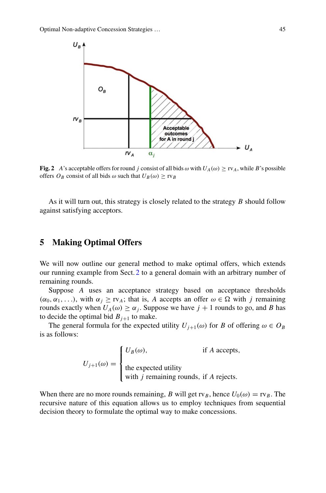

<span id="page-6-1"></span>**Fig. 2** *A*'s acceptable offers for round *j* consist of all bids  $\omega$  with  $U_A(\omega) \geq r \vee_A$ , while *B*'s possible offers  $O_B$  consist of all bids  $\omega$  such that  $U_B(\omega) \geq r v_B$ 

As it will turn out, this strategy is closely related to the strategy *B* should follow against satisfying acceptors.

# <span id="page-6-0"></span>**5 Making Optimal Offers**

We will now outline our general method to make optimal offers, which extends our running example from Sect. [2](#page-2-0) to a general domain with an arbitrary number of remaining rounds.

Suppose *A* uses an acceptance strategy based on acceptance thresholds  $(\alpha_0, \alpha_1, \ldots)$ , with  $\alpha_j \geq r v_A$ ; that is, *A* accepts an offer  $\omega \in \Omega$  with *j* remaining rounds exactly when  $U_A(\omega) \ge \alpha_j$ . Suppose we have  $j + 1$  rounds to go, and *B* has to decide the optimal bid  $B_{i+1}$  to make.

The general formula for the expected utility  $U_{i+1}(\omega)$  for *B* of offering  $\omega \in O_B$ is as follows:

$$
U_{j+1}(\omega) = \begin{cases} U_B(\omega), & \text{if } A \text{ accepts,} \\ \text{the expected utility} \\ \text{with } j \text{ remaining rounds, if } A \text{ rejects.} \end{cases}
$$

When there are no more rounds remaining, *B* will get  $\text{rv}_B$ , hence  $U_0(\omega) = \text{rv}_B$ . The recursive nature of this equation allows us to employ techniques from sequential decision theory to formulate the optimal way to make concessions.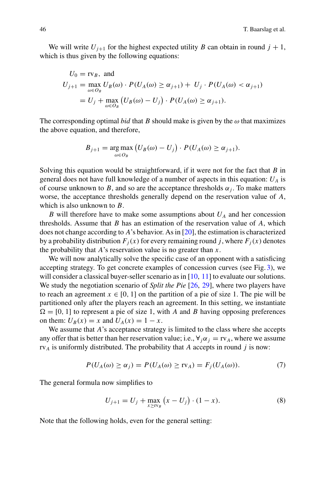We will write  $U_{i+1}$  for the highest expected utility *B* can obtain in round  $j + 1$ , which is thus given by the following equations:

$$
U_0 = \text{rv}_B, \text{ and}
$$
  
\n
$$
U_{j+1} = \max_{\omega \in O_B} U_B(\omega) \cdot P(U_A(\omega) \ge \alpha_{j+1}) + U_j \cdot P(U_A(\omega) < \alpha_{j+1})
$$
  
\n
$$
= U_j + \max_{\omega \in O_B} (U_B(\omega) - U_j) \cdot P(U_A(\omega) \ge \alpha_{j+1}).
$$

The corresponding optimal *bid* that *B* should make is given by the  $\omega$  that maximizes the above equation, and therefore,

$$
B_{j+1} = \underset{\omega \in O_B}{\arg \max} \left( U_B(\omega) - U_j \right) \cdot P(U_A(\omega) \ge \alpha_{j+1}).
$$

Solving this equation would be straightforward, if it were not for the fact that *B* in general does not have full knowledge of a number of aspects in this equation: *UA* is of course unknown to *B*, and so are the acceptance thresholds  $\alpha_i$ . To make matters worse, the acceptance thresholds generally depend on the reservation value of *A*, which is also unknown to *B*.

*B* will therefore have to make some assumptions about  $U_A$  and her concession thresholds. Assume that *B* has an estimation of the reservation value of *A*, which does not change according to *A*'s behavior. As in [\[20\]](#page-15-10), the estimation is characterized by a probability distribution  $F_i(x)$  for every remaining round *j*, where  $F_i(x)$  denotes the probability that *A*'s reservation value is no greater than *x*.

We will now analytically solve the specific case of an opponent with a satisficing accepting strategy. To get concrete examples of concession curves (see Fig. [3\)](#page-8-0), we will consider a classical buyer-seller scenario as in [\[10,](#page-14-1) [11\]](#page-14-2) to evaluate our solutions. We study the negotiation scenario of *Split the Pie* [\[26,](#page-15-3) [29\]](#page-15-11), where two players have to reach an agreement  $x \in [0, 1]$  on the partition of a pie of size 1. The pie will be partitioned only after the players reach an agreement. In this setting, we instantiate  $\Omega = [0, 1]$  to represent a pie of size 1, with *A* and *B* having opposing preferences on them:  $U_B(x) = x$  and  $U_A(x) = 1 - x$ .

We assume that *A*'s acceptance strategy is limited to the class where she accepts any offer that is better than her reservation value; i.e.,  $\forall$ <sub>*j*</sub> $\alpha$ <sub>*j*</sub> = rv<sub>*A*</sub>, where we assume rv*<sup>A</sup>* is uniformly distributed. The probability that *A* accepts in round *j* is now:

$$
P(U_A(\omega) \ge \alpha_j) = P(U_A(\omega) \ge \text{rv}_A) = F_j(U_A(\omega)). \tag{7}
$$

<span id="page-7-1"></span>The general formula now simplifies to

<span id="page-7-0"></span>
$$
U_{j+1} = U_j + \max_{x \geq rv_B} (x - U_j) \cdot (1 - x). \tag{8}
$$

Note that the following holds, even for the general setting: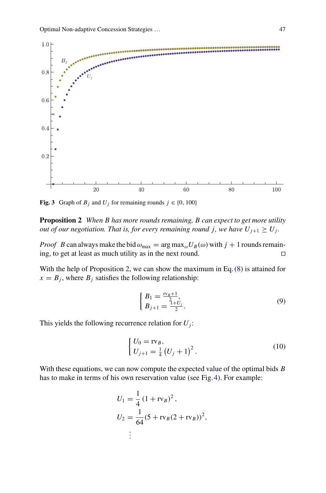

<span id="page-8-0"></span>**Fig. 3** Graph of  $B_j$  and  $U_j$  for remaining rounds  $j \in \{0, 100\}$ 

**Proposition 2** *When B has more rounds remaining, B can expect to get more utility out of our negotiation. That is, for every remaining round j, we have*  $U_{i+1} \geq U_i$ *.* 

*Proof B* can always make the bid  $\omega_{\text{max}} = \arg \max_{\omega} U_B(\omega)$  with  $j + 1$  rounds remaining, to get at least as much utility as in the next round. ing, to get at least as much utility as in the next round.

<span id="page-8-2"></span>With the help of Proposition [2,](#page-7-0) we can show the maximum in Eq.  $(8)$  is attained for  $x = B_i$ , where  $B_i$  satisfies the following relationship:

$$
\begin{cases} B_1 = \frac{v_{B}+1}{2}, \\ B_{j+1} = \frac{1+U_j}{2}. \end{cases}
$$
 (9)

<span id="page-8-1"></span>This yields the following recurrence relation for  $U_i$ :

$$
\begin{cases}\nU_0 = \text{rv}_B, \\
U_{j+1} = \frac{1}{4} (U_j + 1)^2.\n\end{cases} \tag{10}
$$

With these equations, we can now compute the expected value of the optimal bids *B* has to make in terms of his own reservation value (see Fig. [4\)](#page-9-0). For example:

$$
U_1 = \frac{1}{4} (1 + r v_B)^2,
$$
  
\n
$$
U_2 = \frac{1}{64} (5 + r v_B (2 + r v_B))^2,
$$
  
\n
$$
\vdots
$$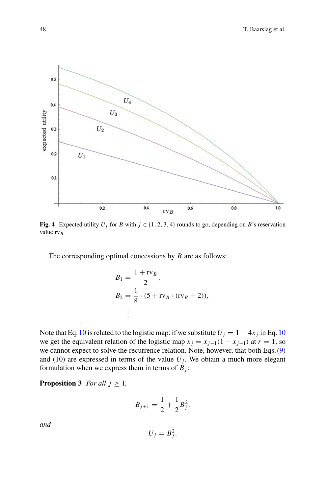

<span id="page-9-0"></span>**Fig. 4** Expected utility *U<sub>j</sub>* for *B* with  $j \in \{1, 2, 3, 4\}$  rounds to go, depending on *B*'s reservation value rv*B*

The corresponding optimal concessions by *B* are as follows:

$$
B_1 = \frac{1 + \text{rv}_B}{2},
$$
  
\n
$$
B_2 = \frac{1}{8} \cdot (5 + \text{rv}_B \cdot (\text{rv}_B + 2)),
$$
  
\n
$$
\vdots
$$

Note that Eq. [10](#page-8-1) is related to the logistic map: if we substitute  $U_j = 1 - 4x_j$  in Eq. 10 we get the equivalent relation of the logistic map  $x_j = x_{j-1}(1 - x_{j-1})$  at  $r = 1$ , so we cannot expect to solve the recurrence relation. Note, however, that both Eqs. [\(9\)](#page-8-2) and  $(10)$  are expressed in terms of the value  $U_j$ . We obtain a much more elegant formulation when we express them in terms of  $B_j$ :

<span id="page-9-1"></span>**Proposition 3** *For all*  $j \geq 1$ *,* 

$$
B_{j+1} = \frac{1}{2} + \frac{1}{2}B_j^2,
$$

*and*

$$
U_j=B_j^2.
$$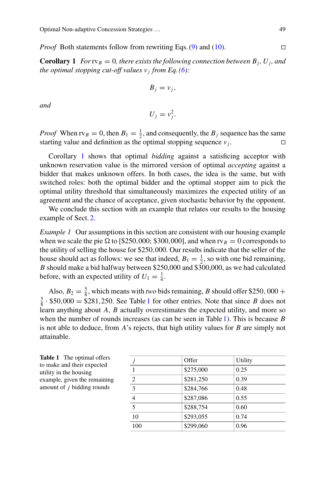<span id="page-10-0"></span>*Proof* Both statements follow from rewriting Eqs. [\(9\)](#page-8-2) and [\(10\)](#page-8-1).  $\square$ 

**Corollary 1** *For*  $\text{rv}_B = 0$ *, there exists the following connection between*  $B_i$ *, U<sub>i</sub>, and the optimal stopping cut-off values v<sub>i</sub> from Eq.* [\(6\)](#page-5-0):

$$
B_j=v_j,
$$

*and*

$$
U_j=v_j^2.
$$

*Proof* When  $rv_B = 0$ , then  $B_1 = \frac{1}{2}$ , and consequently, the  $B_j$  sequence has the same starting value and definition as the optimal stopping sequence  $v_i$ .

Corollary [1](#page-10-0) shows that optimal *bidding* against a satisficing acceptor with unknown reservation value is the mirrored version of optimal *accepting* against a bidder that makes unknown offers. In both cases, the idea is the same, but with switched roles: both the optimal bidder and the optimal stopper aim to pick the optimal utility threshold that simultaneously maximizes the expected utility of an agreement and the chance of acceptance, given stochastic behavior by the opponent.

We conclude this section with an example that relates our results to the housing example of Sect. [2.](#page-2-0)

*Example 1* Our assumptions in this section are consistent with our housing example when we scale the pie  $\Omega$  to [\$250,000; \$300,000], and when  $rv_B = 0$  corresponds to the utility of selling the house for \$250,000. Our results indicate that the seller of the house should act as follows: we see that indeed,  $B_1 = \frac{1}{2}$ , so with one bid remaining, *B* should make a bid halfway between \$250,000 and \$300,000, as we had calculated before, with an expected utility of  $U_1 = \frac{1}{4}$ .

Also,  $B_2 = \frac{5}{8}$ , which means with *two* bids remaining, *B* should offer \$250, 000 +  $\frac{5}{8}$  · \$50,000 = \$28[1](#page-10-1),250. See Table 1 for other entries. Note that since *B* does not learn anything about *A*, *B* actually overestimates the expected utility, and more so when the number of rounds increases (as can be seen in Table [1\)](#page-10-1). This is because *B* is not able to deduce, from *A*'s rejects, that high utility values for *B* are simply not attainable.

|                | Offer     | Utility |  |
|----------------|-----------|---------|--|
|                | \$275,000 | 0.25    |  |
| $\overline{2}$ | \$281,250 | 0.39    |  |
| 3              | \$284,766 | 0.48    |  |
| 4              | \$287,086 | 0.55    |  |
| $\overline{5}$ | \$288,754 | 0.60    |  |
| 10             | \$293,055 | 0.74    |  |
| 100            | \$299,060 | 0.96    |  |
|                |           |         |  |

<span id="page-10-1"></span>**Table 1** The optimal offers to make and their expected utility in the housing example, given the remaining amount of *j* bidding rounds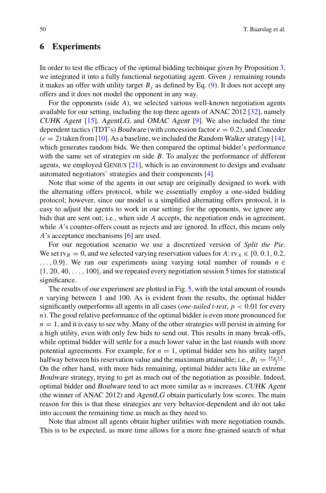## <span id="page-11-0"></span>**6 Experiments**

In order to test the efficacy of the optimal bidding technique given by Proposition [3,](#page-9-1) we integrated it into a fully functional negotiating agent. Given *j* remaining rounds it makes an offer with utility target  $B_i$  as defined by Eq. [\(9\)](#page-8-2). It does not accept any offers and it does not model the opponent in any way.

For the opponents (side *A*), we selected various well-known negotiation agents available for our setting, including the top three agents of ANAC 2012 [\[32\]](#page-15-1), namely CUHK Agent  $[15]$  $[15]$ , AgentLG, and OMAC Agent  $[9]$  $[9]$ . We also included the time dependent tactics (TDT's) Boulware (with concession factor  $e = 0.2$ ), and Conceder  $(e = 2)$  taken from [\[10\]](#page-14-1). As a baseline, we included the Random Walker strategy [\[14](#page-14-10)], which generates random bids. We then compared the optimal bidder's performance with the same set of strategies on side *B*. To analyze the performance of different agents, we employed GENIUS  $[21]$  $[21]$ , which is an environment to design and evaluate automated negotiators' strategies and their components [\[4](#page-14-11)].

Note that some of the agents in our setup are originally designed to work with the alternating offers protocol, while we essentially employ a one-sided bidding protocol; however, since our model is a simplified alternating offers protocol, it is easy to adjust the agents to work in our setting: for the opponents, we ignore any bids that are sent out; i.e., when side *A* accepts, the negotiation ends in agreement, while *A*'s counter-offers count as rejects and are ignored. In effect, this means only *A*'s acceptance mechanisms [\[6](#page-14-12)] are used.

For our negotiation scenario we use a discretized version of *Split the Pie*. We set  $rv_B = 0$ , and we selected varying reservation values for  $A: rv_A \in \{0, 0.1, 0.2,$ ..., 0.9}. We ran our experiments using varying total number of rounds *n* ∈  $\{1, 20, 40, \ldots, 100\}$ , and we repeated every negotiation session 5 times for statistical significance.

The results of our experiment are plotted in Fig. [5,](#page-12-1) with the total amount of rounds *n* varying between 1 and 100. As is evident from the results, the optimal bidder significantly outperforms all agents in all cases (*one-tailed t-test*, *p* < 0.01 for every *n*). The good relative performance of the optimal bidder is even more pronounced for  $n = 1$ , and it is easy to see why. Many of the other strategies will persist in aiming for a high utility, even with only few bids to send out. This results in many break-offs, while optimal bidder will settle for a much lower value in the last rounds with more potential agreements. For example, for  $n = 1$ , optimal bidder sets his utility target halfway between his reservation value and the maximum attainable; i.e.,  $B_1 = \frac{rv_B+1}{2}$ . On the other hand, with more bids remaining, optimal bidder acts like an extreme Boulware strategy, trying to get as much out of the negotiation as possible. Indeed, optimal bidder and Boulware tend to act more similar as *n* increases. CUHK Agent (the winner of ANAC 2012) and AgentLG obtain particularly low scores. The main reason for this is that these strategies are very behavior-dependent and do not take into account the remaining time as much as they need to.

Note that almost all agents obtain higher utilities with more negotiation rounds. This is to be expected, as more time allows for a more fine-grained search of what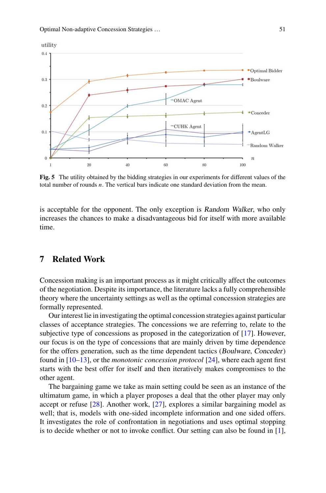

<span id="page-12-1"></span>**Fig. 5** The utility obtained by the bidding strategies in our experiments for different values of the total number of rounds *n*. The vertical bars indicate one standard deviation from the mean.

is acceptable for the opponent. The only exception is Random Walker, who only increases the chances to make a disadvantageous bid for itself with more available time.

## <span id="page-12-0"></span>**7 Related Work**

Concession making is an important process as it might critically affect the outcomes of the negotiation. Despite its importance, the literature lacks a fully comprehensible theory where the uncertainty settings as well as the optimal concession strategies are formally represented.

Our interest lie in investigating the optimal concession strategies against particular classes of acceptance strategies. The concessions we are referring to, relate to the subjective type of concessions as proposed in the categorization of [\[17\]](#page-15-13). However, our focus is on the type of concessions that are mainly driven by time dependence for the offers generation, such as the time dependent tactics (Boulware, Conceder) found in [\[10](#page-14-1)[–13](#page-14-13)], or the *monotonic concession protocol* [\[24](#page-15-14)], where each agent first starts with the best offer for itself and then iteratively makes compromises to the other agent.

The bargaining game we take as main setting could be seen as an instance of the ultimatum game, in which a player proposes a deal that the other player may only accept or refuse [\[28\]](#page-15-6). Another work, [\[27\]](#page-15-15), explores a similar bargaining model as well; that is, models with one-sided incomplete information and one sided offers. It investigates the role of confrontation in negotiations and uses optimal stopping is to decide whether or not to invoke conflict. Our setting can also be found in [\[1](#page-14-14)],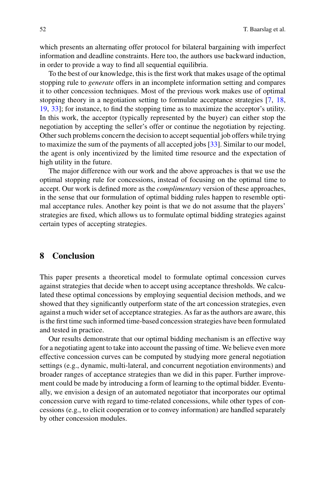which presents an alternating offer protocol for bilateral bargaining with imperfect information and deadline constraints. Here too, the authors use backward induction, in order to provide a way to find all sequential equilibria.

To the best of our knowledge, this is the first work that makes usage of the optimal stopping rule to *generate* offers in an incomplete information setting and compares it to other concession techniques. Most of the previous work makes use of optimal stopping theory in a negotiation setting to formulate acceptance strategies [\[7](#page-14-7), [18,](#page-15-16) [19,](#page-15-8) [33](#page-15-9)]; for instance, to find the stopping time as to maximize the acceptor's utility. In this work, the acceptor (typically represented by the buyer) can either stop the negotiation by accepting the seller's offer or continue the negotiation by rejecting. Other such problems concern the decision to accept sequential job offers while trying to maximize the sum of the payments of all accepted jobs [\[33](#page-15-9)]. Similar to our model, the agent is only incentivized by the limited time resource and the expectation of high utility in the future.

The major difference with our work and the above approaches is that we use the optimal stopping rule for concessions, instead of focusing on the optimal time to accept. Our work is defined more as the *complimentary* version of these approaches, in the sense that our formulation of optimal bidding rules happen to resemble optimal acceptance rules. Another key point is that we do not assume that the players' strategies are fixed, which allows us to formulate optimal bidding strategies against certain types of accepting strategies.

#### **8 Conclusion**

This paper presents a theoretical model to formulate optimal concession curves against strategies that decide when to accept using acceptance thresholds. We calculated these optimal concessions by employing sequential decision methods, and we showed that they significantly outperform state of the art concession strategies, even against a much wider set of acceptance strategies. As far as the authors are aware, this is the first time such informed time-based concession strategies have been formulated and tested in practice.

Our results demonstrate that our optimal bidding mechanism is an effective way for a negotiating agent to take into account the passing of time. We believe even more effective concession curves can be computed by studying more general negotiation settings (e.g., dynamic, multi-lateral, and concurrent negotiation environments) and broader ranges of acceptance strategies than we did in this paper. Further improvement could be made by introducing a form of learning to the optimal bidder. Eventually, we envision a design of an automated negotiator that incorporates our optimal concession curve with regard to time-related concessions, while other types of concessions (e.g., to elicit cooperation or to convey information) are handled separately by other concession modules.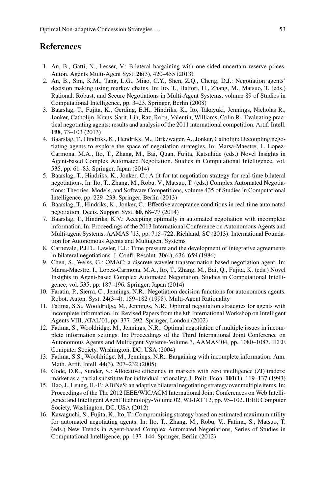## **References**

- <span id="page-14-14"></span>1. An, B., Gatti, N., Lesser, V.: Bilateral bargaining with one-sided uncertain reserve prices. Auton. Agents Multi-Agent Syst. **26**(3), 420–455 (2013)
- <span id="page-14-6"></span>2. An, B., Sim, K.M., Tang, L.G., Miao, C.Y., Shen, Z.Q., Cheng, D.J.: Negotiation agents' decision making using markov chains. In: Ito, T., Hattori, H., Zhang, M., Matsuo, T. (eds.) Rational. Robust, and Secure Negotiations in Multi-Agent Systems, volume 89 of Studies in Computational Intelligence, pp. 3–23. Springer, Berlin (2008)
- <span id="page-14-3"></span>3. Baarslag, T., Fujita, K., Gerding, E.H., Hindriks, K., Ito, Takayuki, Jennings, Nicholas R., Jonker, Catholijn, Kraus, Sarit, Lin, Raz, Robu, Valentin, Williams, Colin R.: Evaluating practical negotiating agents: results and analysis of the 2011 international competition. Artif. Intell. **198**, 73–103 (2013)
- <span id="page-14-11"></span>4. Baarslag, T., Hindriks, K., Hendrikx, M., Dirkzwager, A., Jonker, Catholijn: Decoupling negotiating agents to explore the space of negotiation strategies. In: Marsa-Maestre, I., Lopez-Carmona, M.A., Ito, T., Zhang, M., Bai, Quan, Fujita, Katsuhide (eds.) Novel Insights in Agent-based Complex Automated Negotiation. Studies in Computational Intelligence, vol. 535, pp. 61–83. Springer, Japan (2014)
- <span id="page-14-5"></span>5. Baarslag, T., Hindriks, K., Jonker, C.: A tit for tat negotiation strategy for real-time bilateral negotiations. In: Ito, T., Zhang, M., Robu, V., Matsuo, T. (eds.) Complex Automated Negotiations: Theories. Models, and Software Competitions, volume 435 of Studies in Computational Intelligence, pp. 229–233. Springer, Berlin (2013)
- <span id="page-14-12"></span>6. Baarslag, T., Hindriks, K., Jonker, C.: Effective acceptance conditions in real-time automated negotiation. Decis. Support Syst. **60**, 68–77 (2014)
- <span id="page-14-7"></span>7. Baarslag, T., Hindriks, K.V.: Accepting optimally in automated negotiation with incomplete information. In: Proceedings of the 2013 International Conference on Autonomous Agents and Multi-agent Systems, AAMAS '13, pp. 715–722, Richland, SC (2013). International Foundation for Autonomous Agents and Multiagent Systems
- <span id="page-14-0"></span>8. Carnevale, P.J.D., Lawler, E.J.: Time pressure and the development of integrative agreements in bilateral negotiations. J. Confl. Resolut. **30**(4), 636–659 (1986)
- <span id="page-14-9"></span>9. Chen, S., Weiss, G.: OMAC: a discrete wavelet transformation based negotiation agent. In: Marsa-Maestre, I., Lopez-Carmona, M.A., Ito, T., Zhang, M., Bai, Q., Fujita, K. (eds.) Novel Insights in Agent-based Complex Automated Negotiation. Studies in Computational Intelligence, vol. 535, pp. 187–196. Springer, Japan (2014)
- <span id="page-14-1"></span>10. Faratin, P., Sierra, C., Jennings, N.R.: Negotiation decision functions for autonomous agents. Robot. Auton. Syst. **24**(3–4), 159–182 (1998). Multi-Agent Rationality
- <span id="page-14-2"></span>11. Fatima, S.S., Wooldridge, M., Jennings, N.R.: Optimal negotiation strategies for agents with incomplete information. In: Revised Papers from the 8th International Workshop on Intelligent Agents VIII, ATAL'01, pp. 377–392. Springer, London (2002)
- 12. Fatima, S., Wooldridge, M., Jennings, N.R.: Optimal negotiation of multiple issues in incomplete information settings. In: Proceedings of the Third International Joint Conference on Autonomous Agents and Multiagent Systems-Volume 3, AAMAS'04, pp. 1080–1087. IEEE Computer Society, Washington, DC, USA (2004)
- <span id="page-14-13"></span>13. Fatima, S.S., Wooldridge, M., Jennings, N.R.: Bargaining with incomplete information. Ann. Math. Artif. Intell. **44**(3), 207–232 (2005)
- <span id="page-14-10"></span>14. Gode, D.K., Sunder, S.: Allocative efficiency in markets with zero intelligence (ZI) traders: market as a partial substitute for individual rationality. J. Polit. Econ. **101**(1), 119–137 (1993)
- <span id="page-14-8"></span>15. Hao, J., Leung, H.-F.: ABiNeS: an adaptive bilateral negotiating strategy over multiple items. In: Proceedings of the The 2012 IEEE/WIC/ACM International Joint Conferences on Web Intelligence and Intelligent Agent Technology-Volume 02, WI-IAT'12, pp. 95–102. IEEE Computer Society, Washington, DC, USA (2012)
- <span id="page-14-4"></span>16. Kawaguchi, S., Fujita, K., Ito, T.: Compromising strategy based on estimated maximum utility for automated negotiating agents. In: Ito, T., Zhang, M., Robu, V., Fatima, S., Matsuo, T. (eds.) New Trends in Agent-based Complex Automated Negotiations, Series of Studies in Computational Intelligence, pp. 137–144. Springer, Berlin (2012)